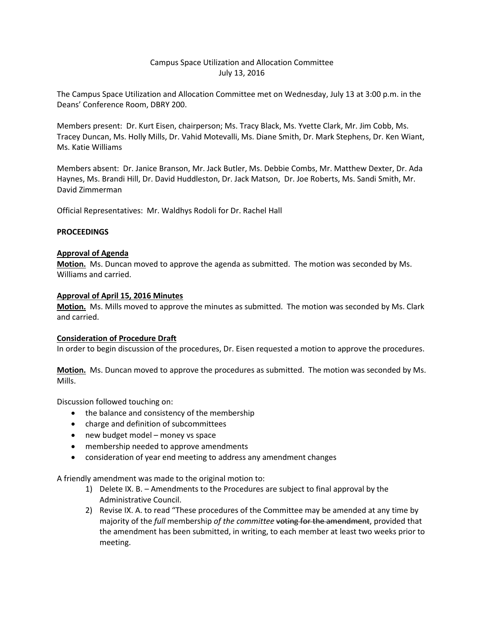# Campus Space Utilization and Allocation Committee July 13, 2016

The Campus Space Utilization and Allocation Committee met on Wednesday, July 13 at 3:00 p.m. in the Deans' Conference Room, DBRY 200.

Members present: Dr. Kurt Eisen, chairperson; Ms. Tracy Black, Ms. Yvette Clark, Mr. Jim Cobb, Ms. Tracey Duncan, Ms. Holly Mills, Dr. Vahid Motevalli, Ms. Diane Smith, Dr. Mark Stephens, Dr. Ken Wiant, Ms. Katie Williams

Members absent: Dr. Janice Branson, Mr. Jack Butler, Ms. Debbie Combs, Mr. Matthew Dexter, Dr. Ada Haynes, Ms. Brandi Hill, Dr. David Huddleston, Dr. Jack Matson, Dr. Joe Roberts, Ms. Sandi Smith, Mr. David Zimmerman

Official Representatives: Mr. Waldhys Rodoli for Dr. Rachel Hall

## **PROCEEDINGS**

## **Approval of Agenda**

**Motion.** Ms. Duncan moved to approve the agenda as submitted. The motion was seconded by Ms. Williams and carried.

## **Approval of April 15, 2016 Minutes**

**Motion.** Ms. Mills moved to approve the minutes as submitted. The motion was seconded by Ms. Clark and carried.

## **Consideration of Procedure Draft**

In order to begin discussion of the procedures, Dr. Eisen requested a motion to approve the procedures.

**Motion.** Ms. Duncan moved to approve the procedures as submitted. The motion was seconded by Ms. Mills.

Discussion followed touching on:

- the balance and consistency of the membership
- charge and definition of subcommittees
- new budget model money vs space
- membership needed to approve amendments
- consideration of year end meeting to address any amendment changes

A friendly amendment was made to the original motion to:

- 1) Delete IX. B. Amendments to the Procedures are subject to final approval by the Administrative Council.
- 2) Revise IX. A. to read "These procedures of the Committee may be amended at any time by majority of the *full* membership *of the committee* voting for the amendment, provided that the amendment has been submitted, in writing, to each member at least two weeks prior to meeting.